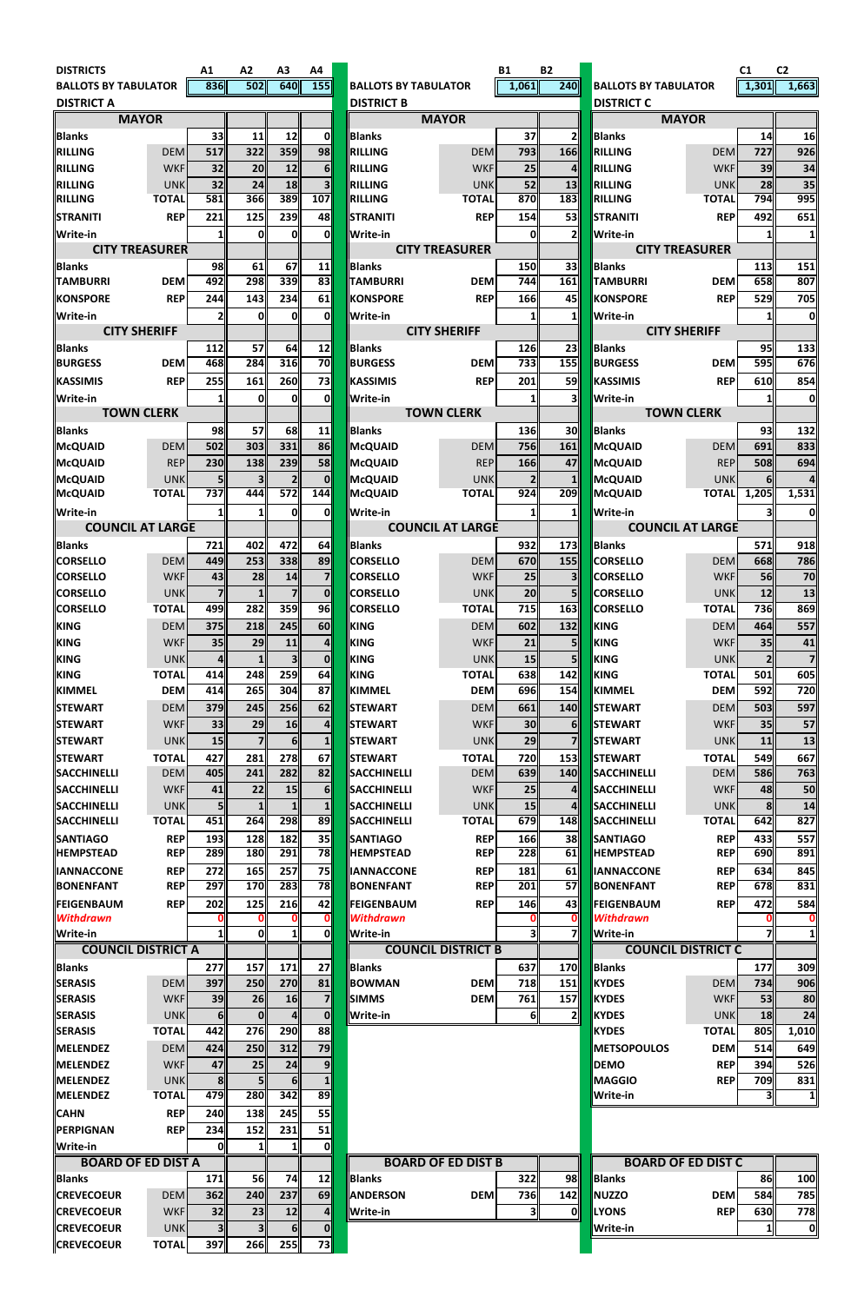| <b>DISTRICTS</b>                       |                            | A1                    | A2                    | A3               | Α4               |                             |                           | <b>B1</b>      | <b>B2</b>       |                                  |                          | C <sub>1</sub>        | C <sub>2</sub> |
|----------------------------------------|----------------------------|-----------------------|-----------------------|------------------|------------------|-----------------------------|---------------------------|----------------|-----------------|----------------------------------|--------------------------|-----------------------|----------------|
| <b>BALLOTS BY TABULATOR</b>            |                            | 836                   | 502                   | 640              | $\overline{155}$ | <b>BALLOTS BY TABULATOR</b> |                           | 1,061          | 240             | <b>BALLOTS BY TABULATOR</b>      |                          | 1,301                 | 1,663          |
| <b>DISTRICT A</b>                      |                            |                       |                       |                  |                  | <b>DISTRICT B</b>           |                           |                |                 | <b>DISTRICT C</b>                |                          |                       |                |
|                                        | <b>MAYOR</b>               |                       |                       |                  |                  |                             | <b>MAYOR</b>              |                |                 | <b>MAYOR</b>                     |                          |                       |                |
| <b>Blanks</b>                          |                            | 33                    | 11                    | 12               | 0l               | <b>Blanks</b>               |                           | 37             | $\mathbf{2}$    | <b>Blanks</b>                    |                          | 14                    | 16             |
| <b>RILLING</b>                         | <b>DEM</b>                 | 517                   | 322                   | 359              | 98               | RILLING                     | <b>DEM</b>                | 793            | 166             | RILLING                          | <b>DEM</b>               | 727                   | 926            |
| <b>RILLING</b>                         | <b>WKF</b>                 | 32                    | 20                    | 12               | 6 <sup>1</sup>   | <b>RILLING</b>              | <b>WKF</b>                | 25             | $\overline{4}$  | <b>RILLING</b>                   | <b>WKF</b>               | 39                    | 34             |
| <b>RILLING</b>                         | <b>UNK</b>                 | 32                    | 24                    | 18               | 3 <sup>1</sup>   | RILLING                     | <b>UNK</b>                | 52             | 13              | RILLING                          | <b>UNK</b>               | 28                    | 35             |
| <b>RILLING</b>                         | <b>TOTAL</b>               | 581                   | 366                   | 389              | 107              | <b>RILLING</b>              | <b>TOTAL</b>              | 870            | 183             | <b>RILLING</b>                   | <b>TOTAL</b>             | 794                   | 995            |
| <b>STRANITI</b>                        | <b>REP</b>                 | 221                   | 125                   | 239              | 48               | <b>STRANITI</b>             | <b>REP</b>                | 154            | 53              | STRANITI                         | <b>REP</b>               | 492                   | 651            |
| <b>Write-in</b>                        |                            | 1                     | 0                     | ΟI               | 0l               | <b>Write-in</b>             |                           | $\mathbf{0}$   | 2 <sup>  </sup> | Write-in                         |                          |                       | 1              |
|                                        | <b>CITY TREASURER</b>      |                       |                       |                  |                  |                             | <b>CITY TREASURER</b>     |                |                 | <b>CITY TREASURER</b>            |                          |                       |                |
| Blanks                                 |                            | 98                    | 61                    | 67               | 11               | Blanks                      |                           | 150            | 33              | <b>Blanks</b>                    |                          | 113                   | 151            |
| <b>TAMBURRI</b>                        | <b>DEM</b>                 | 492                   | 298                   | 339              | 83               | <b>TAMBURRI</b>             | <b>DEM</b>                | 744            | 161             | <b>TAMBURRI</b>                  | <b>DEM</b>               | 658                   | 807            |
| <b>KONSPORE</b>                        | <b>REP</b>                 | 244                   | 143                   | 234              | 61               | <b>KONSPORE</b>             | <b>REP</b>                | 166            | 45              | <b>KONSPORE</b>                  | <b>REP</b>               | 529                   | 705            |
| Write-in                               |                            | 2                     | 0                     | Ol               | 0l               | <b>Write-in</b>             |                           | $\mathbf{1}$   | 11              | Write-in                         |                          |                       | O              |
|                                        | <b>CITY SHERIFF</b>        |                       |                       |                  |                  |                             | <b>CITY SHERIFF</b>       |                |                 | <b>CITY SHERIFF</b>              |                          |                       |                |
| <b>IBlanks</b>                         |                            | 112                   | 57                    | 64               | 12               | <b>Blanks</b>               |                           | 126            | 23              | <b>Blanks</b>                    |                          | 95                    | 133            |
| <b>BURGESS</b>                         | <b>DEM</b>                 | 468                   | 284                   | 316              | 70               | <b>BURGESS</b>              | <b>DEM</b>                | 733            | 155             | <b>BURGESS</b>                   | <b>DEM</b>               | 595                   | 676            |
| <b>KASSIMIS</b>                        | <b>REP</b>                 | 255                   | 161                   | 260              | 73               | KASSIMIS                    | <b>REP</b>                | 201            | 59              | <b>KASSIMIS</b>                  | <b>REP</b>               | 610                   | 854            |
| Write-in                               |                            | 1                     | 0                     | Ol               | 0l               | <b>Write-in</b>             |                           | 11             | зII             | Write-in                         |                          |                       | 01             |
|                                        | <b>TOWN CLERK</b>          |                       |                       |                  |                  |                             | <b>TOWN CLERK</b>         |                |                 | <b>TOWN CLERK</b>                |                          |                       |                |
| <b>Blanks</b>                          |                            | 98                    | 57                    | 68               | 11               | Blanks                      |                           | 136            | 30              | <b>Blanks</b>                    |                          | 93                    | 132            |
| McQUAID                                | <b>DEM</b>                 | 502                   | 303                   | 331              | 86               | McQUAID                     | <b>DEM</b>                | 756            | 161             | McQUAID                          | <b>DEM</b>               | 691                   | 833            |
| McQUAID                                | <b>REP</b>                 | 230                   | 138                   | 239              | 58               | McQUAID                     | <b>REP</b>                | 166            | 47              | McQUAID                          | <b>REP</b>               | 508                   | 694            |
| McQUAID                                | <b>UNK</b>                 | 5 <sup>1</sup>        | 3 <sup>1</sup>        | 2 <sup>1</sup>   | $\mathbf{0}$     | McQUAID                     | <b>UNK</b>                | $\overline{2}$ | 1 <sup>  </sup> | <b>McQUAID</b>                   | <b>UNK</b>               | 6I                    |                |
| McQUAID                                | <b>TOTAL</b>               | 737                   | 444                   | 572              | 144              | McQUAID                     | <b>TOTAL</b>              | 924            | 209             | <b>McQUAID</b>                   | <b>TOTAL</b>             | 1,205                 | 1,531          |
| <b>Write-in</b>                        |                            | 1                     | $1\overline{ }$       | Oll              | Ol               | <b>Write-in</b>             |                           | 11             | 1II             | Write-in                         |                          | 31                    | 0              |
|                                        | <b>COUNCIL AT LARGE</b>    |                       |                       |                  |                  |                             | <b>COUNCIL AT LARGE</b>   |                |                 | <b>COUNCIL AT LARGE</b>          |                          |                       |                |
| Blanks                                 |                            | 721                   | 402                   | 472              | 64               | <b>Blanks</b>               |                           | 932            | 173             | <b>Blanks</b>                    |                          | 571                   | 918            |
| <b>CORSELLO</b>                        | <b>DEM</b>                 | 449                   | 253                   | 338              | 89               | <b>CORSELLO</b>             | <b>DEM</b>                | 670            | 155             | <b>CORSELLO</b>                  | <b>DEM</b>               | 668                   | 786            |
| <b>CORSELLO</b>                        | <b>WKF</b>                 | 43                    | 28                    | 14               | <b>7</b>         | <b>CORSELLO</b>             | <b>WKF</b>                | 25             | 3 <sup>  </sup> | <b>CORSELLO</b>                  | <b>WKF</b>               | 56                    | 70             |
| <b>CORSELLO</b>                        | <b>UNK</b>                 | $\overline{7}$        | 1 <sup>1</sup>        | $\overline{7}$   | $\mathbf{0}$     | <b>CORSELLO</b>             | <b>UNK</b>                | 20             | 5 <sup>1</sup>  | <b>CORSELLO</b>                  | <b>UNK</b>               | 12                    | 13             |
| <b>CORSELLO</b>                        | <b>TOTAL</b>               | 499                   | 282                   | 359              | 96               | <b>CORSELLO</b>             | <b>TOTAL</b>              | 715            | 163             | <b>CORSELLO</b>                  | <b>TOTAL</b>             | 736                   | 869            |
| <b>KING</b>                            | <b>DEM</b>                 | 375                   | 218                   | 245              | <b>60</b>        | <b>KING</b>                 | <b>DEM</b>                | 602            | 132             | <b>KING</b>                      | <b>DEM</b>               | 464                   | 557            |
| <b>KING</b>                            | <b>WKF</b>                 | 35                    | 29                    | 11               | $\overline{4}$   | KING                        | <b>WKF</b>                | 21             | 5 <sup>1</sup>  | <b>KING</b>                      | <b>WKF</b>               | 35                    | 41             |
| KING                                   | <b>UNK</b>                 | 4                     | $1\overline{1}$       | 3 <sup>1</sup>   | $\Omega$         | <b>KING</b>                 | <b>UNK</b>                | 15             | 5 <sub>l</sub>  | <b>KING</b>                      | <b>UNK</b>               | $\overline{2}$        |                |
| <b>KING</b>                            | <b>TOTAL</b>               | 414                   | 248                   | 259              | 64               | <b>KING</b>                 | <b>TOTAL</b>              | 638            | 142             | <b>KING</b>                      | <b>TOTAL</b>             | 501                   | 605            |
| <b>KIMMEL</b>                          | <b>DEM</b>                 | 414                   | 265                   | 304              | 87               | KIMMEL                      | <b>DEM</b>                | 696            | 154             | KIMMEL                           | <b>DEM</b>               | 592                   | 720            |
| <b>STEWART</b>                         | <b>DEM</b>                 | 379                   | 245                   | 256              | 62               | <b>STEWART</b>              | <b>DEM</b>                | 661            | 140             | <b>STEWART</b>                   | <b>DEM</b>               | 503                   | 597            |
| <b>ISTEWART</b>                        | <b>WKF</b>                 | 33                    | 29                    | <b>16</b>        | $\overline{4}$   | <b>STEWART</b>              | <b>WKF</b>                | 30             | 6I              | <b>STEWART</b>                   | <b>WKF</b>               | 35                    | 57             |
| <b>STEWART</b>                         | <b>UNK</b>                 | 15                    | 7 <sup>1</sup>        | 6 <sup>1</sup>   | 1 <sup>1</sup>   | <b>STEWART</b>              | <b>UNK</b>                | 29             | <b>7</b>        | <b>STEWART</b>                   | <b>UNK</b>               | 11                    | 13             |
| <b>ISTEWART</b>                        | <b>TOTAL</b>               | 427                   | 281                   | 278              | 67               | <b>STEWART</b>              | <b>TOTAL</b>              | 720            | 153             | <b>STEWART</b>                   | <b>TOTAL</b>             | 549                   | 667            |
| <b>SACCHINELLI</b>                     | <b>DEM</b>                 | 405                   | 241                   | 282              | 82               | <b>SACCHINELLI</b>          | <b>DEM</b>                | 639            | <b>140</b>      | <b>SACCHINELLI</b>               | <b>DEM</b>               | 586                   | 763            |
| <b>SACCHINELLI</b>                     | <b>WKF</b>                 | 41                    | 22                    | 15               | 6 <sup>1</sup>   | SACCHINELLI                 | <b>WKF</b>                | 25             | 4 <sup>  </sup> | <b>SACCHINELLI</b>               | <b>WKF</b>               | 48                    | 50             |
| <b>SACCHINELLI</b>                     | <b>UNK</b>                 | 5                     | $\mathbf{1}$          |                  | 1 <sup>1</sup>   | <b>SACCHINELLI</b>          | <b>UNK</b>                | 15             | 4               | SACCHINELLI                      | <b>UNK</b>               | 8                     | 14             |
| <b>SACCHINELLI</b>                     | <b>TOTAL</b>               | 451                   | 264                   | 298              | 89               | SACCHINELLI                 | <b>TOTAL</b>              | 679            | 148             | <b>SACCHINELLI</b>               | <b>TOTAL</b>             | 642                   | 827            |
| <b>SANTIAGO</b>                        | <b>REP</b>                 | 193                   | 128                   | 182              | 35               | <b>SANTIAGO</b>             | <b>REP</b>                | 166            | 38              | <b>SANTIAGO</b>                  | <b>REP</b>               | 433                   | 557            |
| <b>HEMPSTEAD</b>                       | <b>REP</b>                 | 289                   | 180                   | 291              | 78               | <b>HEMPSTEAD</b>            | <b>REP</b>                | 228            | 61              | <b>HEMPSTEAD</b>                 | <b>REP</b>               | 690                   | 891            |
| <b>IIANNACCONE</b>                     | <b>REP</b>                 | 272                   | 165                   | 257              | 75               | <b>IANNACCONE</b>           | <b>REP</b>                | 181            | 61              | <b>IANNACCONE</b>                | <b>REP</b>               | 634                   | 845            |
| <b>BONENFANT</b>                       | <b>REP</b>                 | 297                   | 170                   | 283              | 78               | <b>BONENFANT</b>            | <b>REP</b>                | 201            | 57              | <b>BONENFANT</b>                 | <b>REP</b>               | 678                   | 831            |
| <b>FEIGENBAUM</b>                      | <b>REP</b>                 | 202                   | 125                   | 216              | 42               | <b>FEIGENBAUM</b>           | <b>REP</b>                | 146            | 43              | <b>FEIGENBAUM</b>                | <b>REP</b>               | 472                   | 584            |
| <b>Withdrawn</b>                       |                            | Ω                     | 0                     |                  | $\mathbf{0}$     | <b>Withdrawn</b>            |                           |                | O               | <b>Withdrawn</b>                 |                          |                       |                |
| <b>Write-in</b>                        |                            | 1                     | 0                     |                  | Ol               | <b>Write-in</b>             |                           | 31             | <b>71</b>       | Write-in                         |                          |                       | 1              |
|                                        | <b>COUNCIL DISTRICT A</b>  |                       |                       |                  |                  |                             | <b>COUNCIL DISTRICT B</b> |                |                 | <b>COUNCIL DISTRICT C</b>        |                          |                       |                |
| <b>Blanks</b>                          |                            | 277                   | 157                   | 171              | 27               | <b>Blanks</b>               |                           | 637            | 170             | <b>Blanks</b>                    |                          | 177                   | 309            |
| <b>SERASIS</b>                         | <b>DEM</b>                 | 397                   | 250                   | 270              | 81               | <b>BOWMAN</b>               | <b>DEM</b>                | 718            | 151             | <b>KYDES</b>                     | <b>DEM</b>               | 734                   | 906            |
| <b>SERASIS</b>                         | <b>WKF</b>                 | 39                    | 26                    | <b>16</b>        | 71               | <b>SIMMS</b>                | <b>DEM</b>                | 761            | 157             | <b>KYDES</b>                     | <b>WKF</b>               | 53                    | 80             |
| <b>SERASIS</b>                         | UNK                        | 6 <sub>l</sub>        | 0                     |                  | 0                | <b>Write-in</b>             |                           | $\overline{6}$ | $\overline{2}$  | KYDES                            | UNK                      | 18                    | 24             |
| <b>SERASIS</b>                         | <b>TOTAL</b>               | 442                   | 276                   | <b>290</b>       | 88               |                             |                           |                |                 | <b>KYDES</b>                     | <b>TOTAL</b>             | 805                   | 1,010          |
| MELENDEZ                               | <b>DEM</b>                 | 424                   | 250                   | 312              | 79               |                             |                           |                |                 | <b>METSOPOULOS</b>               | <b>DEM</b>               | 514                   | 649            |
| MELENDEZ                               | <b>WKF</b>                 | 47                    | 25                    | 24               | 91               |                             |                           |                |                 | <b>DEMO</b>                      | <b>REP</b>               | 394                   | 526            |
| <b>MELENDEZ</b><br><b>MELENDEZ</b>     | <b>UNK</b><br><b>TOTAL</b> | 8 <sup>1</sup><br>479 | 5 <sup>1</sup><br>280 | <b>61</b><br>342 | 89               |                             |                           |                |                 | <b>MAGGIO</b><br><b>Write-in</b> | <b>REP</b>               | 709<br>3 <sub>l</sub> | 831            |
|                                        |                            |                       |                       |                  |                  |                             |                           |                |                 |                                  |                          |                       | 1              |
| <b>CAHN</b>                            | <b>REP</b>                 | 240                   | 138                   | 245              | 55               |                             |                           |                |                 |                                  |                          |                       |                |
| <b>PERPIGNAN</b>                       | <b>REP</b>                 | 234                   | 152                   | 231              | 51               |                             |                           |                |                 |                                  |                          |                       |                |
| <b>Write-in</b>                        | <b>BOARD OF ED DIST A</b>  | 0l                    | $\mathbf{1}$          | <u> 11</u>       | 0l               |                             |                           |                |                 |                                  |                          |                       |                |
|                                        |                            |                       | <b>56</b>             |                  |                  |                             | <b>BOARD OF ED DIST B</b> | 322            | 98              | <b>BOARD OF ED DIST C</b>        |                          |                       |                |
| <b>Blanks</b>                          |                            | 171                   |                       | 74I              | 12               | <b>Blanks</b>               |                           |                |                 | <b>Blanks</b>                    |                          | 86                    | 100            |
| <b>CREVECOEUR</b>                      | <b>DEM</b>                 | 362                   | 240                   | 237              | 69               | <b>ANDERSON</b>             | <b>DEM</b>                | 736            | 142<br>0I       | <b>NUZZO</b>                     | <b>DEM</b><br><b>REP</b> | 584<br>630            | 785            |
| <b>CREVECOEUR</b>                      | <b>WKF</b>                 | 32                    | 23                    | 12               | 4 <sup>1</sup>   | <b>Write-in</b>             |                           | 31             |                 | <b>LYONS</b>                     |                          |                       | 778            |
| <b>CREVECOEUR</b><br><b>CREVECOEUR</b> | <b>UNK</b><br><b>TOTAL</b> | 3 <sup>1</sup><br>397 | 3 <sup>1</sup>        | -61              |                  |                             |                           |                |                 | Write-in                         |                          | 1I                    | 0              |
|                                        |                            |                       | 266                   | 255              | 73               |                             |                           |                |                 |                                  |                          |                       |                |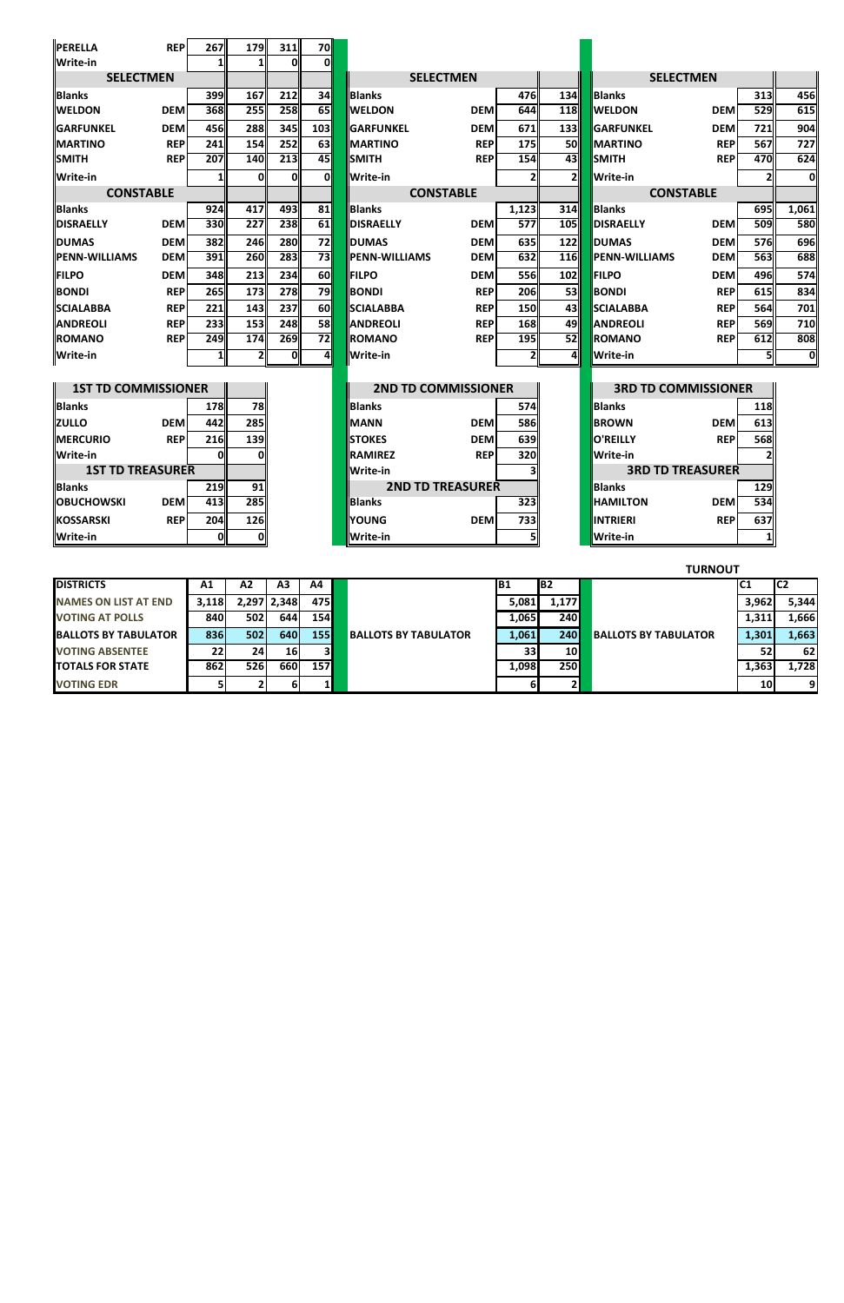| <b>PERELLA</b>             | <b>REP</b> | 267        | 179            | 311        | 70              |                            |            |              |            |                            |            |                  |       |
|----------------------------|------------|------------|----------------|------------|-----------------|----------------------------|------------|--------------|------------|----------------------------|------------|------------------|-------|
| <b>Write-in</b>            |            |            |                | 0l         | 0l              |                            |            |              |            |                            |            |                  |       |
| <b>SELECTMEN</b>           |            |            |                |            |                 | <b>SELECTMEN</b>           |            |              |            | <b>SELECTMEN</b>           |            |                  |       |
| <b>Blanks</b>              |            | 399        | 167            | 212        | 34              | Blanks                     |            | 476          | 134        | Blanks                     |            | 313              | 456   |
| <b>WELDON</b>              | <b>DEM</b> | 368        | 255            | 258        | $\overline{65}$ | <b>IWELDON</b>             | <b>DEM</b> | 644          | <b>118</b> | <b>WELDON</b>              | <b>DEM</b> | 529              | 615   |
| <b>GARFUNKEL</b>           | <b>DEM</b> | 456        | 288            | 345        | 103             | <b>IGARFUNKEL</b>          | <b>DEM</b> | 671          | 133        | <b>GARFUNKEL</b>           | <b>DEM</b> | 721              | 904   |
| <b>MARTINO</b>             | <b>REP</b> | 241        | 154            | 252        | 63              | <b>IMARTINO</b>            | <b>REP</b> | 175          | <b>50</b>  | <b>MARTINO</b>             | <b>REP</b> | 567              | 727   |
| <b>SMITH</b>               | <b>REP</b> | 207        | 140            | 213        | $\overline{45}$ | <b>SMITH</b>               | <b>REP</b> | 154          | 43         | <b>SMITH</b>               | <b>REP</b> | 470              | 624   |
| Write-in                   |            |            | 01             | 01         | Ol              | Write-in                   |            | $\mathbf{2}$ | 2          | Write-in                   |            |                  | 0     |
| <b>CONSTABLE</b>           |            |            |                |            |                 | <b>CONSTABLE</b>           |            |              |            | <b>CONSTABLE</b>           |            |                  |       |
| <b>Blanks</b>              |            | 924        | 417            | 493        | 81              | Blanks                     |            | 1,123        | 314        | <b>Blanks</b>              |            | 695              | 1,061 |
| <b>DISRAELLY</b>           | <b>DEM</b> | 330        | 227            | 238        | $\overline{61}$ | <b>DISRAELLY</b>           | <b>DEM</b> | 577          | <b>105</b> | <b>DISRAELLY</b>           | <b>DEM</b> | 509              | 580   |
| <b>DUMAS</b>               | <b>DEM</b> | 382        | 246            | <b>280</b> | 72              | <b>DUMAS</b>               | <b>DEM</b> | 635          | 122        | <b>DUMAS</b>               | <b>DEM</b> | 576              | 696   |
| <b>PENN-WILLIAMS</b>       | <b>DEM</b> | 391        | 260            | 283        | $\overline{73}$ | <b>PENN-WILLIAMS</b>       | <b>DEM</b> | 632          | 116        | <b>PENN-WILLIAMS</b>       | <b>DEM</b> | 563              | 688   |
| <b>FILPO</b>               | <b>DEM</b> | 348        | 213            | 234        | <b>60</b>       | <b>FILPO</b>               | <b>DEM</b> | 556          | 102        | <b>FILPO</b>               | <b>DEM</b> | 496              | 574   |
| <b>BONDI</b>               | <b>REP</b> | 265        | <b>173</b>     | 278        | 79              | <b>BONDI</b>               | <b>REP</b> | 206          | 53         | <b>BONDI</b>               | <b>REP</b> | 615              | 834   |
| <b>SCIALABBA</b>           | <b>REP</b> | 221        | 143            | 237        | <b>60</b>       | <b>SCIALABBA</b>           | <b>REP</b> | 150          | 43         | <b>SCIALABBA</b>           | <b>REP</b> | 564              | 701   |
| <b>ANDREOLI</b>            | <b>REP</b> | 233        | 153            | 248        | 58              | <b>ANDREOLI</b>            | <b>REP</b> | 168          | 49         | <b>ANDREOLI</b>            | <b>REP</b> | 569              | 710   |
| <b>ROMANO</b>              | <b>REP</b> | 249        | 174            | 269        | $\overline{72}$ | <b>ROMANO</b>              | <b>REP</b> | 195          | 52         | <b>ROMANO</b>              | <b>REP</b> | 612              | 808   |
| <b>Write-in</b>            |            | 1          | 21             | 0l         | 41              | Write-in                   |            | $\mathbf{2}$ | 41         | Write-in                   |            | 5                | 0     |
|                            |            |            |                |            |                 |                            |            |              |            |                            |            |                  |       |
| <b>1ST TD COMMISSIONER</b> |            |            |                |            |                 | <b>2ND TD COMMISSIONER</b> |            |              |            | <b>3RD TD COMMISSIONER</b> |            |                  |       |
| llBlanks                   |            | 178        | <b>78</b>      |            |                 | <b>Blanks</b>              |            | 574          |            | <b>Blanks</b>              |            | 118              |       |
| <b>ZULLO</b>               | <b>DEM</b> | 442        | 285            |            |                 | <b>MANN</b>                | <b>DEM</b> | 586          |            | <b>BROWN</b>               | <b>DEM</b> | 613              |       |
| <b>MERCURIO</b>            | <b>REP</b> | 216        | 139            |            |                 | <b>STOKES</b>              | <b>DEM</b> | 639          |            | <b>O'REILLY</b>            | <b>REP</b> | 568              |       |
| Write-in                   |            | Ωl         | O              |            |                 | <b>RAMIREZ</b>             | <b>REP</b> | 320          |            | <b>Write-in</b>            |            |                  |       |
| <b>1ST TD TREASURER</b>    |            |            |                |            |                 | Write-in                   |            | 31           |            | <b>3RD TD TREASURER</b>    |            |                  |       |
| <b>Dianka</b>              |            | <b>210</b> | n <sub>1</sub> |            |                 | 2ND TD TDEACHDED           |            |              |            | <b>Dlanke</b>              |            | 120 <sup>1</sup> |       |

|                              |              |                |                 |             |                             |       |             | .                           |           |       |
|------------------------------|--------------|----------------|-----------------|-------------|-----------------------------|-------|-------------|-----------------------------|-----------|-------|
| <b>DISTRICTS</b>             | A1           | A <sub>2</sub> | A3              | A4          |                             | B1    | IB2         |                             |           | IC2   |
| <b>NAMES ON LIST AT END</b>  | <b>3.118</b> |                | 2,297 2,348     | 475I        |                             | 5,081 | 1,177       |                             | 3,962     | 5,344 |
| <b>VOTING AT POLLS</b>       | 840 l        | 502            | 644             | 154         |                             | 1,065 | <b>2401</b> |                             | 1,311     | 1,666 |
| <b>IBALLOTS BY TABULATOR</b> | 836          | 502            | 640             | <b>1551</b> | <b>BALLOTS BY TABULATOR</b> | 1,061 | <b>2401</b> | <b>BALLOTS BY TABULATOR</b> | 1,301     | 1,663 |
| <b>VOTING ABSENTEE</b>       | 22           | 24             | 16 <sub>1</sub> | 3I          |                             | 33    | 10I         |                             | 52        | 62    |
| <b>TOTALS FOR STATE</b>      | 862          | 526            | 660             | <b>157</b>  |                             | 1,098 | <b>250</b>  |                             | 1,363     | 1,728 |
| <b>VOTING EDR</b>            |              |                |                 |             |                             |       |             |                             | <b>10</b> |       |

| <b>1ST TD COMMISSIONER</b> |             |            |              |                 | <b>2ND TD COMMISSIONER</b> |              | <b>3RD TD COMMISSIONER</b> |                         |     |
|----------------------------|-------------|------------|--------------|-----------------|----------------------------|--------------|----------------------------|-------------------------|-----|
| <b>Blanks</b>              |             | 178II      | <b>78II</b>  | <b>Blanks</b>   |                            | 574II        | <b>Blanks</b>              |                         | 118 |
| ZULLO                      | <b>DEM</b>  | 442I       | <b>285</b>   | <b>IMANN</b>    | <b>DEM</b>                 | <b>586</b>   | <b>IBROWN</b>              | <b>DEMI</b>             | 613 |
| <b>MERCURIO</b>            | <b>REPI</b> | 216        | <b>139II</b> | <b>ISTOKES</b>  | <b>DEM</b>                 | <b>639</b>   | <b>IO'REILLY</b>           | <b>REPI</b>             | 568 |
| Write-in                   |             |            |              | <b>IRAMIREZ</b> | <b>REP</b>                 | <b>320II</b> | <b>Write-in</b>            |                         |     |
| <b>1ST TD TREASURER</b>    |             |            |              | lWrite-in       |                            |              |                            | <b>3RD TD TREASURER</b> |     |
| <b>Blanks</b>              |             | <b>219</b> | 91           |                 | <b>2ND TD TREASURER</b>    |              | <b>Blanks</b>              |                         | 129 |
| <b>OBUCHOWSKI</b>          | <b>DEMI</b> | 413I       | <b>285</b>   | <b>Blanks</b>   |                            | 323II        | <b>I</b> HAMILTON          | <b>DEM</b>              | 534 |
| KOSSARSKI                  | <b>REPI</b> | 204ll      | <b>126</b>   | <b>IYOUNG</b>   | <b>DEM</b>                 | 733II        | <b>IINTRIERI</b>           | <b>REP</b>              | 637 |
| Write-in                   |             |            |              | Write-in        |                            |              | Write-in                   |                         |     |

## **TURNOUT**

|                         | <b>SELECTMEN</b>           |            |                  |       |
|-------------------------|----------------------------|------------|------------------|-------|
| 34                      | <b>Blanks</b>              |            | 313              | 456   |
| 18                      | <b>WELDON</b>              | <b>DEM</b> | $\overline{529}$ | 615   |
| 33                      | <b>GARFUNKEL</b>           | <b>DEM</b> | 721              | 904   |
| 50                      | <b>MARTINO</b>             | <b>REP</b> | 567              | 727   |
| 43                      | <b>SMITH</b>               | <b>REP</b> | 470              | 624   |
| $\overline{\mathbf{c}}$ | Write-in                   |            | $\overline{2}$   | 0     |
|                         | <b>CONSTABLE</b>           |            |                  |       |
| 14                      | <b>Blanks</b>              |            | 695              | 1,061 |
| 05                      | <b>DISRAELLY</b>           | <b>DEM</b> | 509              | 580   |
| $\overline{22}$         | <b>DUMAS</b>               | <b>DEM</b> | 576              | 696   |
| 16                      | <b>PENN-WILLIAMS</b>       | <b>DEM</b> | 563              | 688   |
| $\overline{02}$         | <b>FILPO</b>               | <b>DEM</b> | 496              | 574   |
| 53                      | <b>BONDI</b>               | <b>REP</b> | 615              | 834   |
| 43                      | <b>SCIALABBA</b>           | <b>REP</b> | 564              | 701   |
| 49                      | <b>ANDREOLI</b>            | <b>REP</b> | 569              | 710   |
| $\overline{52}$         | <b>ROMANO</b>              | <b>REP</b> | 612              | 808   |
| 4                       | Write-in                   |            | 5                | 0     |
|                         |                            |            |                  |       |
|                         | <b>3RD TD COMMISSIONER</b> |            | Π                |       |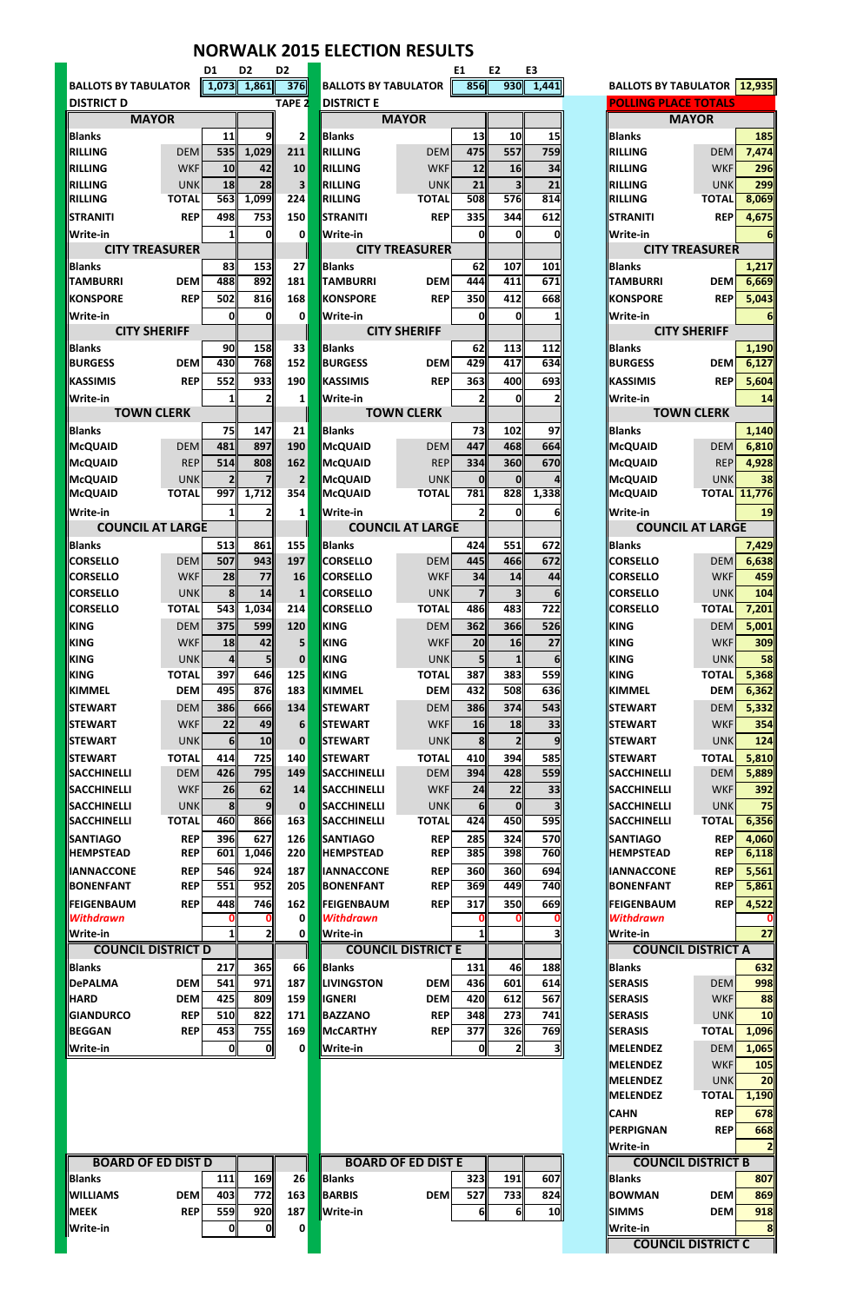|                                                                        |                       |                                                                                  |                     | <b>NORWALK 2015 ELECTION RESULTS</b> |                            |                       |                    |                |                                          |                                            |
|------------------------------------------------------------------------|-----------------------|----------------------------------------------------------------------------------|---------------------|--------------------------------------|----------------------------|-----------------------|--------------------|----------------|------------------------------------------|--------------------------------------------|
|                                                                        | D1                    | D <sub>2</sub>                                                                   | D <sub>2</sub>      |                                      |                            | E1                    | E <sub>2</sub>     | E <sub>3</sub> |                                          |                                            |
| <b>BALLOTS BY TABULATOR</b>                                            |                       | $\begin{array}{ c c c c c c c c } \hline 1,073 & 1,861 & 376 \hline \end{array}$ |                     | <b>BALLOTS BY TABULATOR</b>          |                            | 856                   | 930                | 1,441          |                                          | <b>BALLOTS BY TABULATOR   12,935 </b>      |
| <b>DISTRICT D</b><br><b>MAYOR</b>                                      |                       |                                                                                  | <b>TAPE 2</b>       | <b>DISTRICT E</b>                    | <b>MAYOR</b>               |                       |                    |                | <b>POLLING PLACE TOTALS</b>              | <b>MAYOR</b>                               |
| <b>Blanks</b>                                                          | 11                    | 9                                                                                | $\mathbf{2}$        | <b>Blanks</b>                        |                            | 13                    | 10                 | 15             | <b>Blanks</b>                            | 185                                        |
| <b>DEM</b><br><b>RILLING</b>                                           | 535                   | 1,029                                                                            | 211                 | RILLING                              | <b>DEM</b>                 | <b>475</b>            | 557                | 759            | RILLING                                  | 7,474<br><b>DEM</b>                        |
| <b>WKF</b><br><b>RILLING</b>                                           | 10                    | 42                                                                               | 10                  | RILLING                              | <b>WKF</b>                 | 12                    | 16                 | 34             | RILLING                                  | 296<br><b>WKF</b>                          |
| RILLING<br><b>UNK</b>                                                  | 18                    | 28                                                                               | 3                   | RILLING                              | <b>UNK</b>                 | 21                    | 3 <sub>l</sub>     | 21             | RILLING                                  | 299<br><b>UNK</b>                          |
| <b>TOTAL</b><br><b>RILLING</b>                                         | 563                   | 1,099                                                                            | 224                 | RILLING                              | <b>TOTAL</b>               | 508                   | 576                | 814            | <b>RILLING</b>                           | 8,069<br><b>TOTAL</b>                      |
| <b>STRANITI</b><br><b>REP</b>                                          | 498                   | 753                                                                              | 150                 | <b>STRANITI</b>                      | <b>REP</b>                 | <b>335</b>            | 344                | 612            | <b>STRANITI</b>                          | 4,675<br><b>REP</b>                        |
| Write-in                                                               | 1                     | 01                                                                               | 0                   | <b>Write-in</b>                      |                            | Ol                    | 0l                 | 0              | <b>Write-in</b>                          | 61                                         |
| <b>CITY TREASURER</b>                                                  |                       |                                                                                  |                     |                                      | <b>CITY TREASURER</b>      |                       |                    |                |                                          | <b>CITY TREASURER</b>                      |
| <b>Blanks</b><br><b>TAMBURRI</b><br><b>DEM</b>                         | 83<br>488             | 153<br>892                                                                       | 27<br>181           | Blanks<br><b>TAMBURRI</b>            | <b>DEM</b>                 | 62<br>444             | 107<br>411         | 101<br>671     | <b>Blanks</b><br><b>TAMBURRI</b>         | 1,217<br><b>DEM</b><br>6,669               |
| <b>REP</b><br><b>KONSPORE</b>                                          | 502                   | 816                                                                              | 168                 | <b>KONSPORE</b>                      | <b>REP</b>                 | <b>350</b>            | 412                | 668            | <b>KONSPORE</b>                          | 5,043<br><b>REP</b>                        |
| Write-in                                                               | 0                     | 0l                                                                               | 0                   | <b>Write-in</b>                      |                            | 01                    | 0l                 | 1              | <b>Write-in</b>                          | 6 <sup>1</sup>                             |
| <b>CITY SHERIFF</b>                                                    |                       |                                                                                  |                     |                                      | <b>CITY SHERIFF</b>        |                       |                    |                |                                          | <b>CITY SHERIFF</b>                        |
| <b>Blanks</b>                                                          | 90                    | 158                                                                              | 33                  | Blanks                               |                            | 62                    | 113                | 112            | <b>Blanks</b>                            | 1,190                                      |
| <b>BURGESS</b><br><b>DEM</b>                                           | 430                   | 768                                                                              | 152                 | <b>BURGESS</b>                       | <b>DEM</b>                 | 429                   | 417                | 634            | <b>BURGESS</b>                           | 6,127<br><b>DEM</b>                        |
| <b>REP</b><br><b>KASSIMIS</b>                                          | 552                   | 933                                                                              | 190                 | <b>KASSIMIS</b>                      | <b>REP</b>                 | 363                   | 400                | 693            | KASSIMIS                                 | 5,604<br><b>REP</b>                        |
| Write-in                                                               | $\mathbf{1}$          |                                                                                  | 1                   | <b>Write-in</b>                      |                            | 21                    | 0l                 | 2              | Write-in                                 | 14                                         |
| <b>TOWN CLERK</b>                                                      |                       |                                                                                  |                     |                                      | <b>TOWN CLERK</b>          |                       |                    |                |                                          | <b>TOWN CLERK</b>                          |
| <b>Blanks</b>                                                          | 75                    | 147                                                                              | 21                  | Blanks                               |                            | 73                    | 102                | 97             | <b>Blanks</b>                            | 1,140                                      |
| <b>DEM</b><br><b>McQUAID</b><br><b>REP</b>                             | 481<br>514            | 897<br>808                                                                       | 190<br>162          | <b>McQUAID</b><br><b>McQUAID</b>     | <b>DEM</b><br><b>REP</b>   | 447<br>334            | 468<br>360         | 664<br>670     | <b>McQUAID</b><br>McQUAID                | 6,810<br><b>DEM</b><br>4,928<br><b>REP</b> |
| McQUAID<br>McQUAID<br><b>UNK</b>                                       | 2 <sub>l</sub>        |                                                                                  | $\overline{2}$      | <b>McQUAID</b>                       | <b>UNK</b>                 | 0l                    | 0l                 |                | McQUAID                                  | 38<br><b>UNK</b>                           |
| <b>McQUAID</b><br><b>TOTAL</b>                                         | 997                   | 1,712                                                                            | 354                 | <b>McQUAID</b>                       | <b>TOTAL</b>               | 781                   | 828                | 1,338          | <b>McQUAID</b>                           | <b>TOTAL 11,776</b>                        |
| <b>Write-in</b>                                                        | 1 <sup>1</sup>        | 2                                                                                | 1                   | <b>Write-in</b>                      |                            | 2                     | Ol                 | 6 <sup>l</sup> | <b>Write-in</b>                          | 19                                         |
| <b>COUNCIL AT LARGE</b>                                                |                       |                                                                                  |                     |                                      | <b>COUNCIL AT LARGE</b>    |                       |                    |                |                                          | <b>COUNCIL AT LARGE</b>                    |
| <b>Blanks</b>                                                          | 513                   | 861                                                                              | 155                 | <b>Blanks</b>                        |                            | 424                   | 551                | 672            | <b>Blanks</b>                            | 7,429                                      |
| <b>DEM</b><br><b>CORSELLO</b>                                          | 507                   | 943                                                                              | 197                 | <b>CORSELLO</b>                      | <b>DEM</b>                 | 445                   | 466                | 672            | <b>CORSELLO</b>                          | 6,638<br><b>DEM</b>                        |
| <b>WKF</b><br><b>CORSELLO</b>                                          | 28                    | 77                                                                               | 16                  | <b>I</b> ICORSELLO                   | <b>WKF</b>                 | 34                    | 14                 | 44             | <b>CORSELLO</b>                          | 459<br><b>WKF</b>                          |
| <b>CORSELLO</b><br><b>UNK</b>                                          | 8                     | 14                                                                               | $\mathbf{1}$        | <b>CORSELLO</b>                      | <b>UNK</b>                 | 7                     | 3 <sub>l</sub>     | 6 <sup>1</sup> | <b>CORSELLO</b>                          | 104<br><b>UNK</b>                          |
| <b>TOTAL</b><br><b>CORSELLO</b>                                        | 543                   | 1,034                                                                            | 214                 | <b>CORSELLO</b>                      | <b>TOTAL</b>               | 486                   | 483                | 722            | <b>CORSELLO</b>                          | <b>TOTAL</b><br>7,201                      |
| <b>KING</b><br><b>DEM</b>                                              | 375                   | <b>599</b>                                                                       | 120                 | KING                                 | <b>DEM</b>                 | 362                   | 366                | 526            | <b>KING</b>                              | 5,001<br><b>DEM</b>                        |
| <b>KING</b><br><b>WKF</b><br><b>KING</b><br><b>UNK</b>                 | 18<br>4               | 42<br>51                                                                         | 5<br>$\mathbf 0$    | KING<br>KING                         | <b>WKF</b><br><b>UNK</b>   | 20<br>5l              | 16<br>$\mathbf{1}$ | 27             | <b>KING</b><br><b>KING</b>               | 309<br><b>WKF</b><br>58<br><b>UNK</b>      |
| <b>KING</b><br><b>TOTAL</b>                                            | 397                   | 646                                                                              | 125                 | KING                                 | <b>TOTAL</b>               | 387                   | 383                | 61<br>559      | <b>KING</b>                              | 5,368<br><b>TOTAL</b>                      |
| <b>DEM</b><br>KIMMEL                                                   | 495                   | 876                                                                              | 183                 | <b>KIMMEL</b>                        | <b>DEM</b>                 | 432                   | 508                | 636            | <b>KIMMEL</b>                            | 6,362<br><b>DEM</b>                        |
| <b>STEWART</b><br><b>DEM</b>                                           | 386                   | 666                                                                              | 134                 | <b>STEWART</b>                       | <b>DEM</b>                 | <b>386</b>            | 374                | 543            | <b>ISTEWART</b>                          | 5,332<br><b>DEM</b>                        |
| <b>STEWART</b><br><b>WKF</b>                                           | 22                    | 49                                                                               | 6                   | <b>STEWART</b>                       | <b>WKF</b>                 | 16                    | 18                 | 33             | <b>ISTEWART</b>                          | 354<br><b>WKF</b>                          |
| <b>UNK</b><br><b>STEWART</b>                                           | 6 <sup>1</sup>        | 10 <sub>1</sub>                                                                  | $\mathbf 0$         | <b>STEWART</b>                       | <b>UNK</b>                 | 8 <sup>1</sup>        | $\overline{2}$     | 9              | <b>STEWART</b>                           | 124<br><b>UNK</b>                          |
| <b>TOTAL</b><br><b>STEWART</b>                                         | 414                   | 725                                                                              | 140                 | <b>ISTEWART</b>                      | <b>TOTAL</b>               | 410                   | 394                | 585            | <b>ISTEWART</b>                          | <b>TOTAL</b><br>5,810                      |
| <b>DEM</b><br><b>SACCHINELLI</b>                                       | 426                   | 795                                                                              | 149                 | <b>SACCHINELLI</b>                   | <b>DEM</b>                 | 394I                  | 428                | 559            | <b>SACCHINELLI</b>                       | <b>DEM</b><br>5,889                        |
| <b>SACCHINELLI</b><br><b>WKF</b>                                       | 26                    | 62                                                                               | 14                  | <b>I</b> SACCHINELLI                 | <b>WKF</b>                 | 24                    | 22                 | 33             | <b>SACCHINELLI</b>                       | 392<br><b>WKF</b>                          |
| <b>SACCHINELLI</b><br><b>UNK</b><br><b>TOTAL</b><br><b>SACCHINELLI</b> | 8 <sup>1</sup><br>460 | 9 <sub>l</sub><br>866                                                            | $\mathbf{0}$<br>163 | <b>SACCHINELLI</b><br>SACCHINELLI    | <b>UNK</b><br><b>TOTAL</b> | 6 <sup>1</sup><br>424 | 0<br>450           | 595            | <b>SACCHINELLI</b><br><b>SACCHINELLI</b> | 75<br><b>UNK</b><br>6,356<br><b>TOTAL</b>  |
| <b>REP</b><br><b>SANTIAGO</b>                                          | 396                   | 627                                                                              | 126                 | <b>SANTIAGO</b>                      | <b>REP</b>                 | 285                   | 324                | 570            | <b>SANTIAGO</b>                          | 4,060<br><b>REP</b>                        |
| <b>HEMPSTEAD</b><br><b>REP</b>                                         | 601                   | 1,046                                                                            | 220                 | <b>HEMPSTEAD</b>                     | <b>REP</b>                 | 385                   | 398                | 760            | <b>HEMPSTEAD</b>                         | 6,118<br><b>REP</b>                        |
| <b>REP</b><br><b>IANNACCONE</b>                                        | 546                   | 924                                                                              | 187                 | <b>IIANNACCONE</b>                   | <b>REP</b>                 | <b>360</b>            | 360                | 694            | <b>IANNACCONE</b>                        | 5,561<br><b>REP</b>                        |
| <b>BONENFANT</b><br><b>REP</b>                                         | 551                   | 952                                                                              | 205                 | <b>BONENFANT</b>                     | <b>REP</b>                 | 369                   | 449                | 740            | <b>BONENFANT</b>                         | 5,861<br><b>REP</b>                        |
| <b>REP</b><br><b>FEIGENBAUM</b>                                        | 448                   | 746                                                                              | 162                 | <b>FEIGENBAUM</b>                    | <b>REP</b>                 | 317                   | 350                | 669            | FEIGENBAUM                               | 4,522<br><b>REP</b>                        |
| <b>Withdrawn</b>                                                       | O                     | 0                                                                                | 0                   | <b>Withdrawn</b>                     |                            | 0                     |                    | 0              | <b>Withdrawn</b>                         |                                            |
| Write-in                                                               | 1 <sup>  </sup>       | $\mathbf{2}$                                                                     | 0                   | <b>Write-in</b>                      |                            | $\mathbf{1}$          |                    | 31             | Write-in                                 | 27                                         |
| <b>COUNCIL DISTRICT D</b>                                              |                       |                                                                                  |                     |                                      | <b>COUNCIL DISTRICT E</b>  |                       |                    |                |                                          | <b>COUNCIL DISTRICT A</b>                  |
| <b>Blanks</b><br><b>DEM</b><br><b>DePALMA</b>                          | 217<br>541            | 365<br>971                                                                       | 66<br>187           | Blanks<br><b>ILIVINGSTON</b>         | <b>DEM</b>                 | 131<br>436            | 46<br>601          | 188<br>614     | <b>Blanks</b><br><b>SERASIS</b>          | 632<br>998<br><b>DEM</b>                   |
| <b>DEM</b><br><b>HARD</b>                                              | 425                   | 809                                                                              | 159                 | <b>IGNERI</b>                        | <b>DEM</b>                 | 420                   | 612                | 567            | <b>SERASIS</b>                           | 88<br><b>WKF</b>                           |
| <b>REP</b><br><b>GIANDURCO</b>                                         | 510                   | 822                                                                              | 171                 | <b>BAZZANO</b>                       | <b>REP</b>                 | 348                   | 273                | 741            | <b>SERASIS</b>                           | <b>10</b><br><b>UNK</b>                    |
| <b>REP</b><br><b>BEGGAN</b>                                            | 453                   | <b>755</b>                                                                       | 169                 | <b>McCARTHY</b>                      | <b>REP</b>                 | 377                   | 326                | 769            | <b>SERASIS</b>                           | 1,096<br><b>TOTAL</b>                      |
| Write-in                                                               | O                     | Οl                                                                               | 0                   | <b>Write-in</b>                      |                            | Oll                   | $\mathbf{2}$       | 31             | <b>MELENDEZ</b>                          | <b>DEM</b><br>1,065                        |
|                                                                        |                       |                                                                                  |                     |                                      |                            |                       |                    |                | MELENDEZ                                 | <b>WKF</b><br>105                          |
|                                                                        |                       |                                                                                  |                     |                                      |                            |                       |                    |                | <b>MELENDEZ</b>                          | <b>UNK</b><br>20                           |
|                                                                        |                       |                                                                                  |                     |                                      |                            |                       |                    |                | MELENDEZ                                 | 1,190<br><b>TOTAL</b>                      |
|                                                                        |                       |                                                                                  |                     |                                      |                            |                       |                    |                | <b>CAHN</b>                              | 678<br><b>REP</b>                          |
|                                                                        |                       |                                                                                  |                     |                                      |                            |                       |                    |                | <b>PERPIGNAN</b>                         | 668<br><b>REP</b>                          |
| <b>BOARD OF ED DIST D</b>                                              |                       |                                                                                  |                     |                                      | <b>BOARD OF ED DIST E</b>  |                       |                    |                | <b>Write-in</b>                          | $\mathbf{2}$<br><b>COUNCIL DISTRICT B</b>  |
| <b>Blanks</b>                                                          | 111                   | 169                                                                              | 26                  | Blanks                               |                            | 323                   | <b>191</b>         | 607            | <b>Blanks</b>                            | 807                                        |
| <b>WILLIAMS</b><br><b>DEM</b>                                          | 403                   | 772                                                                              | 163                 | BARBIS                               | <b>DEM</b>                 | 527                   | 733                | 824            | <b>BOWMAN</b>                            | <b>DEM</b><br>869                          |
| <b>REP</b><br><b>MEEK</b>                                              | 559                   | 920                                                                              | 187                 | <b>Write-in</b>                      |                            | 6 <sup>1</sup>        | 6 <sup>1</sup>     | 10             | <b>SIMMS</b>                             | <b>DEM</b><br>918                          |
| Write-in                                                               | 0                     | Οl                                                                               | 0                   |                                      |                            |                       |                    |                | Write-in                                 | 8                                          |
|                                                                        |                       |                                                                                  |                     |                                      |                            |                       |                    |                |                                          | <b>COUNCIL DISTRICT C</b>                  |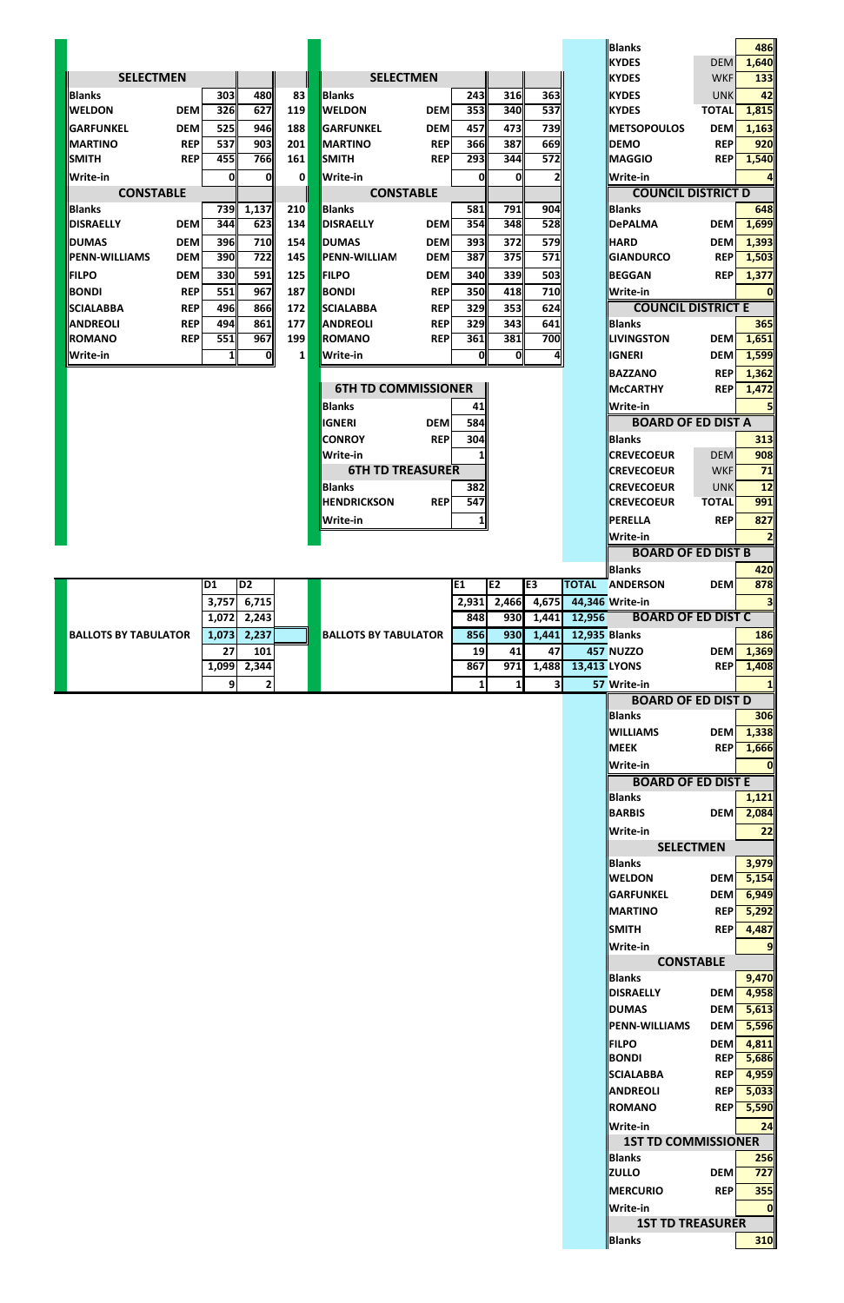|                                                 |                         |                   |                             |            |            |                |                  |                     | <b>Blanks</b><br><b>KYDES</b>              |                          | 486                     |
|-------------------------------------------------|-------------------------|-------------------|-----------------------------|------------|------------|----------------|------------------|---------------------|--------------------------------------------|--------------------------|-------------------------|
| <b>SELECTMEN</b>                                |                         |                   | <b>SELECTMEN</b>            |            |            |                |                  |                     | <b>KYDES</b>                               | <b>DEM</b><br><b>WKF</b> | 1,640<br>133            |
| <b>Blanks</b>                                   | 303<br>480              | 83                | <b>Blanks</b>               |            | 243        | 316            | 363              |                     | <b>IKYDES</b>                              | <b>UNK</b>               | 42                      |
| <b>WELDON</b><br><b>DEM</b>                     | 627<br>326              | 119               | <b>WELDON</b>               | <b>DEM</b> | 353        | 340            | $\overline{537}$ |                     | <b>IKYDES</b>                              | <b>TOTAL</b>             | 1,815                   |
| <b>DEM</b><br><b>GARFUNKEL</b>                  | 525<br>946              | 188               | <b>GARFUNKEL</b>            | <b>DEM</b> | 457        | 473            | <b>739</b>       |                     | <b>IMETSOPOULOS</b>                        | <b>DEM</b>               | 1,163                   |
| <b>MARTINO</b><br><b>REP</b>                    | 537<br>903              | 201               | <b>MARTINO</b>              | <b>REP</b> | <b>366</b> | 387            | 669              |                     | <b>DEMO</b>                                | <b>REP</b>               | 920                     |
| <b>SMITH</b><br><b>REP</b>                      | 766<br>455              | 161               | <b>SMITH</b>                | <b>REP</b> | 293        | 344            | 572              |                     | <b>I</b> MAGGIO                            | <b>REP</b>               | 1,540                   |
| Write-in                                        | 0                       | 0<br>$\mathbf{0}$ | Write-in                    |            | Oll        | 0              | $\mathbf{2}$     |                     | <b>Write-in</b>                            |                          | 4                       |
| <b>CONSTABLE</b>                                |                         | 210               | <b>CONSTABLE</b><br>Blanks  |            | 581        | 791            | <b>904</b>       |                     | <b>COUNCIL DISTRICT D</b><br><b>Blanks</b> |                          | 648                     |
| <b>Blanks</b><br><b>DISRAELLY</b><br><b>DEM</b> | 739 1,137<br>623<br>344 | 134               | <b>DISRAELLY</b>            | <b>DEM</b> | 354        | 348            | 528              |                     | <b>DePALMA</b>                             | <b>DEMI</b>              | 1,699                   |
| <b>DEM</b><br><b>DUMAS</b>                      | 710<br><b>396</b>       | 154               | <b>DUMAS</b>                | <b>DEM</b> | 393        | 372            | <b>579</b>       |                     | <b>HARD</b>                                | <b>DEM</b>               | 1,393                   |
| <b>PENN-WILLIAMS</b><br><b>DEM</b>              | 722<br><b>390</b>       | 145               | PENN-WILLIAM                | <b>DEM</b> | 387        | 375            | $\overline{571}$ |                     | <b>GIANDURCO</b>                           | <b>REPI</b>              | 1,503                   |
| <b>FILPO</b><br><b>DEM</b>                      | 330<br>591              | 125               | <b>FILPO</b>                | <b>DEM</b> | 340        | 339            | 503              |                     | <b>BEGGAN</b>                              | <b>REPI</b>              | 1,377                   |
| <b>BONDI</b><br><b>REP</b>                      | 967<br>551              | 187               | <b>BONDI</b>                | <b>REP</b> | <b>350</b> | 418            | 710              |                     | Write-in                                   |                          | $\mathbf{0}$            |
| <b>REP</b><br><b>SCIALABBA</b>                  | 496<br>866              | 172               | <b>SCIALABBA</b>            | <b>REP</b> | 329        | 353            | 624              |                     | <b>COUNCIL DISTRICT E</b>                  |                          |                         |
| <b>REP</b><br><b>ANDREOLI</b>                   | 494<br>861              | 177               | <b>ANDREOLI</b>             | <b>REP</b> | 329        | 343            | 641              |                     | <b>Blanks</b>                              |                          | 365                     |
| <b>REP</b><br><b>ROMANO</b>                     | 967<br>551              | 199               | ROMANO                      | <b>REP</b> | 361        | 381            | 700              |                     | <b>LIVINGSTON</b>                          | <b>DEM</b>               | 1,651                   |
| Write-in                                        | $1\vert$                | 0 <br>$1\vert$    | <b>Write-in</b>             |            | 0          | $\mathbf{0}$   | $\overline{a}$   |                     | <b>IGNERI</b>                              | <b>DEM</b>               | 1,599                   |
|                                                 |                         |                   | <b>6TH TD COMMISSIONER</b>  |            |            |                |                  |                     | <b>BAZZANO</b><br><b>McCARTHY</b>          | <b>REP</b><br><b>REP</b> | 1,362                   |
|                                                 |                         |                   | <b>Blanks</b>               |            |            |                |                  |                     | <b>Write-in</b>                            |                          | 1,472                   |
|                                                 |                         |                   | <b>IGNERI</b>               | <b>DEM</b> | 41<br>584  |                |                  |                     | <b>BOARD OF ED DIST A</b>                  |                          | 5 <sub>l</sub>          |
|                                                 |                         |                   | <b>CONROY</b>               | <b>REP</b> | 304        |                |                  |                     | <b>Blanks</b>                              |                          | 313                     |
|                                                 |                         |                   | Write-in                    |            | 11         |                |                  |                     | <b>CREVECOEUR</b>                          | <b>DEM</b>               | 908                     |
|                                                 |                         |                   | <b>6TH TD TREASURER</b>     |            |            |                |                  |                     | <b>CREVECOEUR</b>                          | <b>WKF</b>               | 71                      |
|                                                 |                         |                   | <b>Blanks</b>               |            | 382        |                |                  |                     | <b>CREVECOEUR</b>                          | <b>UNK</b>               | 12                      |
|                                                 |                         |                   | <b>HENDRICKSON</b>          | <b>REP</b> | 547        |                |                  |                     | <b>CREVECOEUR</b>                          | <b>TOTAL</b>             | 991                     |
|                                                 |                         |                   | <b>Write-in</b>             |            | 1          |                |                  |                     | <b>PERELLA</b>                             | <b>REP</b>               | 827                     |
|                                                 |                         |                   |                             |            |            |                |                  |                     | <b>Write-in</b>                            |                          | $\overline{2}$          |
|                                                 |                         |                   |                             |            |            |                |                  |                     | <b>BOARD OF ED DIST B</b>                  |                          |                         |
| D <sub>1</sub>                                  | D <sub>2</sub>          |                   |                             |            | E1         | E2             | E <sub>3</sub>   |                     | <b>Blanks</b><br><b>TOTAL ANDERSON</b>     | <b>DEM</b>               | 420<br>878              |
|                                                 | 3,757<br>6,715          |                   |                             |            | 2,931      | 2,466          | 4,675            |                     | 44,346 Write-in                            |                          | $\overline{\mathbf{3}}$ |
|                                                 | 2,243<br>1,072          |                   |                             |            | 848        | <b>930</b>     | 1,441            | 12,956              | <b>BOARD OF ED DIST C</b>                  |                          |                         |
| <b>BALLOTS BY TABULATOR</b>                     | 1,073<br>2,237          |                   | <b>BALLOTS BY TABULATOR</b> |            | 856        | 930            | 1,441            | 12,935 Blanks       |                                            |                          | <b>186</b>              |
|                                                 | 27<br>101               |                   |                             |            | 19         | 41             | 47               |                     | <b>457 NUZZO</b>                           | <b>DEM</b>               | 1,369                   |
|                                                 | 2,344<br>1,099          |                   |                             |            | 867        | 971            | 1,488            | <b>13,413 LYONS</b> |                                            | <b>REP</b>               | 1,408                   |
|                                                 | 9                       | $\overline{2}$    |                             |            | $1\vert$   | 1 <sup>1</sup> | 3 <sup>1</sup>   |                     | 57 Write-in                                |                          | 1                       |
|                                                 |                         |                   |                             |            |            |                |                  |                     | <b>BOARD OF ED DIST D</b>                  |                          |                         |
|                                                 |                         |                   |                             |            |            |                |                  |                     |                                            |                          |                         |
|                                                 |                         |                   |                             |            |            |                |                  |                     | <b>Blanks</b>                              |                          | <b>306</b>              |
|                                                 |                         |                   |                             |            |            |                |                  |                     | <b>WILLIAMS</b>                            | <b>DEM</b>               | 1,338                   |
|                                                 |                         |                   |                             |            |            |                |                  |                     | <b>MEEK</b>                                | <b>REP</b>               | 1,666                   |
|                                                 |                         |                   |                             |            |            |                |                  |                     | Write-in                                   |                          | 0                       |
|                                                 |                         |                   |                             |            |            |                |                  |                     | <b>BOARD OF ED DIST E</b><br><b>Blanks</b> |                          | 1,121                   |
|                                                 |                         |                   |                             |            |            |                |                  |                     | <b>BARBIS</b>                              |                          | DEM 2,084               |
|                                                 |                         |                   |                             |            |            |                |                  |                     | <b>Write-in</b>                            |                          | 22                      |
|                                                 |                         |                   |                             |            |            |                |                  |                     | <b>SELECTMEN</b>                           |                          |                         |
|                                                 |                         |                   |                             |            |            |                |                  |                     | <b>Blanks</b>                              |                          | 3,979                   |
|                                                 |                         |                   |                             |            |            |                |                  |                     | <b>WELDON</b>                              | <b>DEM</b>               | 5,154                   |
|                                                 |                         |                   |                             |            |            |                |                  |                     | <b>GARFUNKEL</b>                           | <b>DEM</b>               | 6,949                   |
|                                                 |                         |                   |                             |            |            |                |                  |                     | <b>MARTINO</b><br><b>SMITH</b>             | <b>REP</b><br><b>REP</b> | 5,292                   |
|                                                 |                         |                   |                             |            |            |                |                  |                     | <b>Write-in</b>                            |                          | 4,487<br>9              |
|                                                 |                         |                   |                             |            |            |                |                  |                     | <b>CONSTABLE</b>                           |                          |                         |
|                                                 |                         |                   |                             |            |            |                |                  |                     | <b>Blanks</b>                              |                          | 9,470                   |
|                                                 |                         |                   |                             |            |            |                |                  |                     | <b>DISRAELLY</b>                           |                          | <b>DEM</b> 4,958        |
|                                                 |                         |                   |                             |            |            |                |                  |                     | <b>DUMAS</b>                               | <b>DEM</b>               | 5,613                   |
|                                                 |                         |                   |                             |            |            |                |                  |                     | <b>PENN-WILLIAMS</b>                       | <b>DEM</b>               | 5,596                   |
|                                                 |                         |                   |                             |            |            |                |                  |                     | <b>FILPO</b>                               | <b>DEM</b>               | 4,811                   |
|                                                 |                         |                   |                             |            |            |                |                  |                     | <b>BONDI</b><br><b>SCIALABBA</b>           | <b>REP</b><br><b>REP</b> | 5,686<br>4,959          |
|                                                 |                         |                   |                             |            |            |                |                  |                     | <b>ANDREOLI</b>                            | <b>REPI</b>              | 5,033                   |
|                                                 |                         |                   |                             |            |            |                |                  |                     | <b>ROMANO</b>                              | <b>REP</b>               |                         |
|                                                 |                         |                   |                             |            |            |                |                  |                     | Write-in                                   |                          |                         |
|                                                 |                         |                   |                             |            |            |                |                  |                     | <b>1ST TD COMMISSIONER</b>                 |                          |                         |
|                                                 |                         |                   |                             |            |            |                |                  |                     | <b>Blanks</b>                              |                          | 5,590<br>24<br>256      |
|                                                 |                         |                   |                             |            |            |                |                  |                     | <b>ZULLO</b>                               | <b>DEM</b>               | 727                     |
|                                                 |                         |                   |                             |            |            |                |                  |                     | <b>IMERCURIO</b>                           | <b>REP</b>               | 355                     |
|                                                 |                         |                   |                             |            |            |                |                  |                     | <b>Write-in</b>                            |                          | 0                       |
|                                                 |                         |                   |                             |            |            |                |                  |                     | <b>1ST TD TREASURER</b><br>Blanks          |                          | 310                     |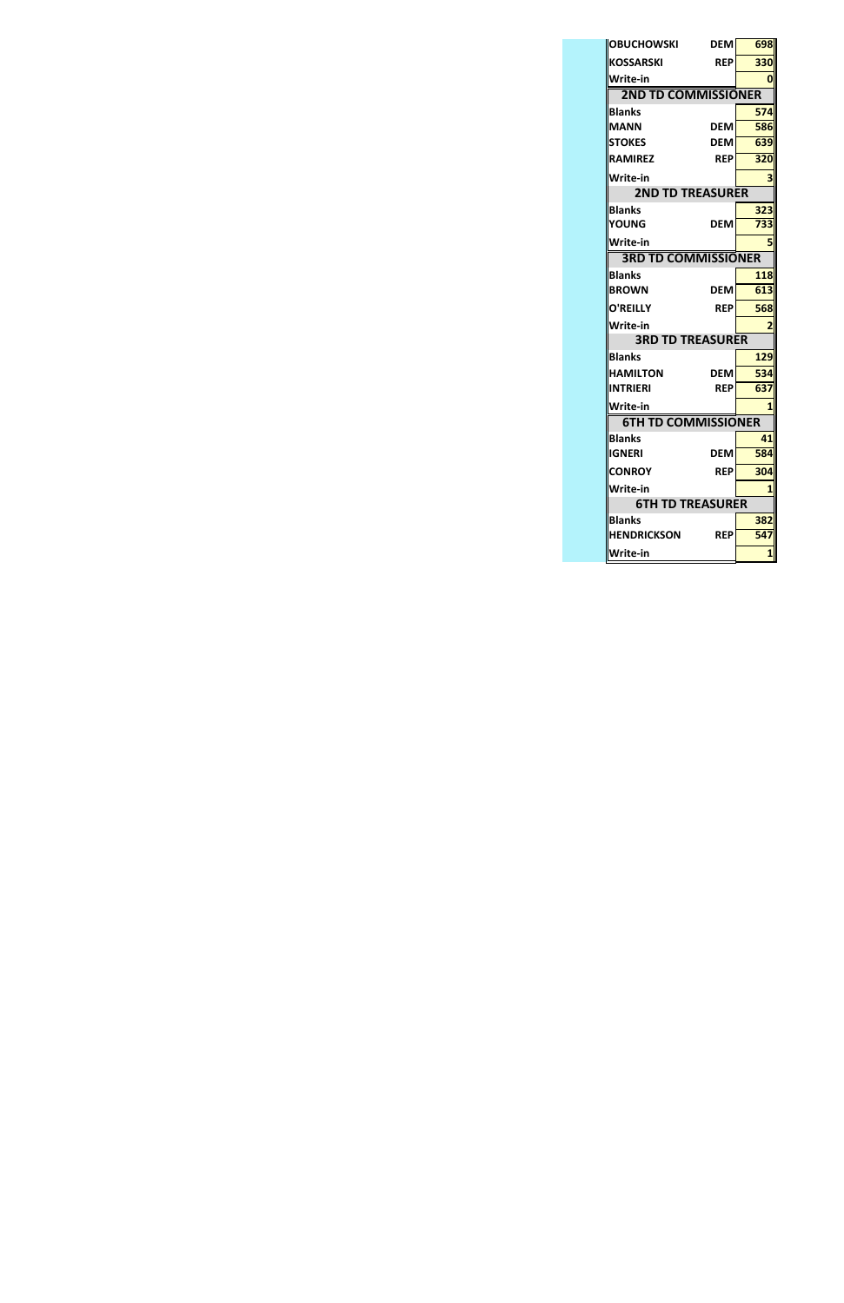| <b>OBUCHOWSKI</b>          | DEM        | 698                     |
|----------------------------|------------|-------------------------|
| KOSSARSKI                  | <b>REP</b> | 330                     |
| Write-in                   |            | 0                       |
| <b>2ND TD COMMISSIONER</b> |            |                         |
| <b>Blanks</b>              |            | 574                     |
| <b>MANN</b>                | DEM        | 586                     |
| <b>STOKES</b>              | DEM        | 639                     |
| <b>RAMIREZ</b>             | <b>REP</b> | 320                     |
| Write-in                   |            | 3                       |
| <b>2ND TD TREASURER</b>    |            |                         |
| <b>Blanks</b>              |            | 323                     |
| YOUNG                      | <b>DEM</b> | 733                     |
| Write-in                   |            | 5                       |
| <b>3RD TD COMMISSIONER</b> |            |                         |
| Blanks                     |            | 118                     |
| <b>BROWN</b>               | DEM        | 613                     |
| <b>O'REILLY</b>            | <b>REP</b> | 568                     |
| Write-in                   |            | 2                       |
| <b>3RD TD TREASURER</b>    |            |                         |
| Blanks                     |            | 129                     |
| <b>HAMILTON</b>            | <b>DEM</b> | 534                     |
| INTRIERI                   | <b>RFP</b> | 637                     |
| Write-in                   |            | 1                       |
| <b>6TH TD COMMISSIONER</b> |            |                         |
| Blanks                     |            | 41                      |
| IGNERI                     | DEM        | 584                     |
| <b>CONROY</b>              | <b>REP</b> | 304                     |
| Write-in                   |            | $\overline{\mathbf{1}}$ |
| <b>6TH TD TREASURER</b>    |            |                         |
| Blanks                     |            | 382                     |
| <b>HENDRICKSON</b>         | <b>REP</b> | 547                     |
| Write-in                   |            | 1                       |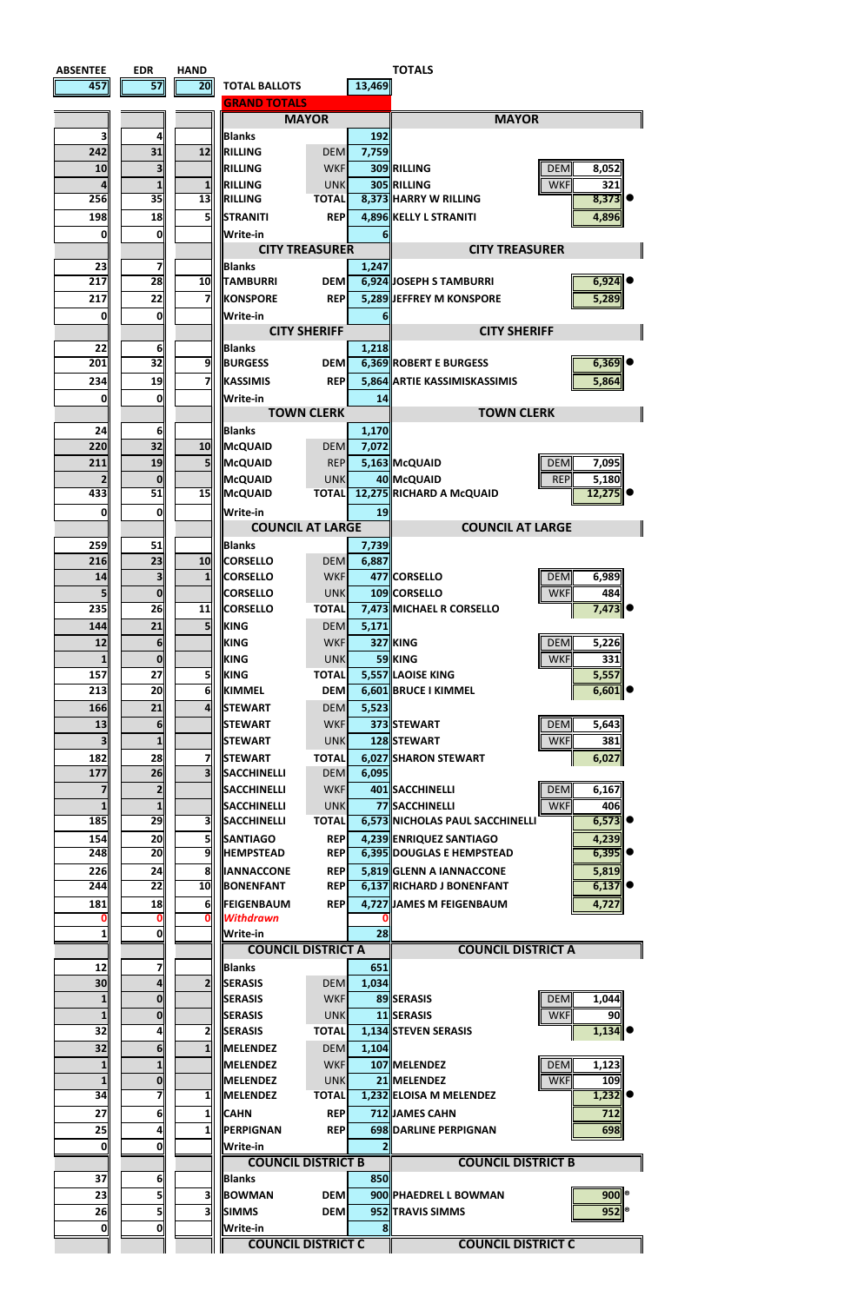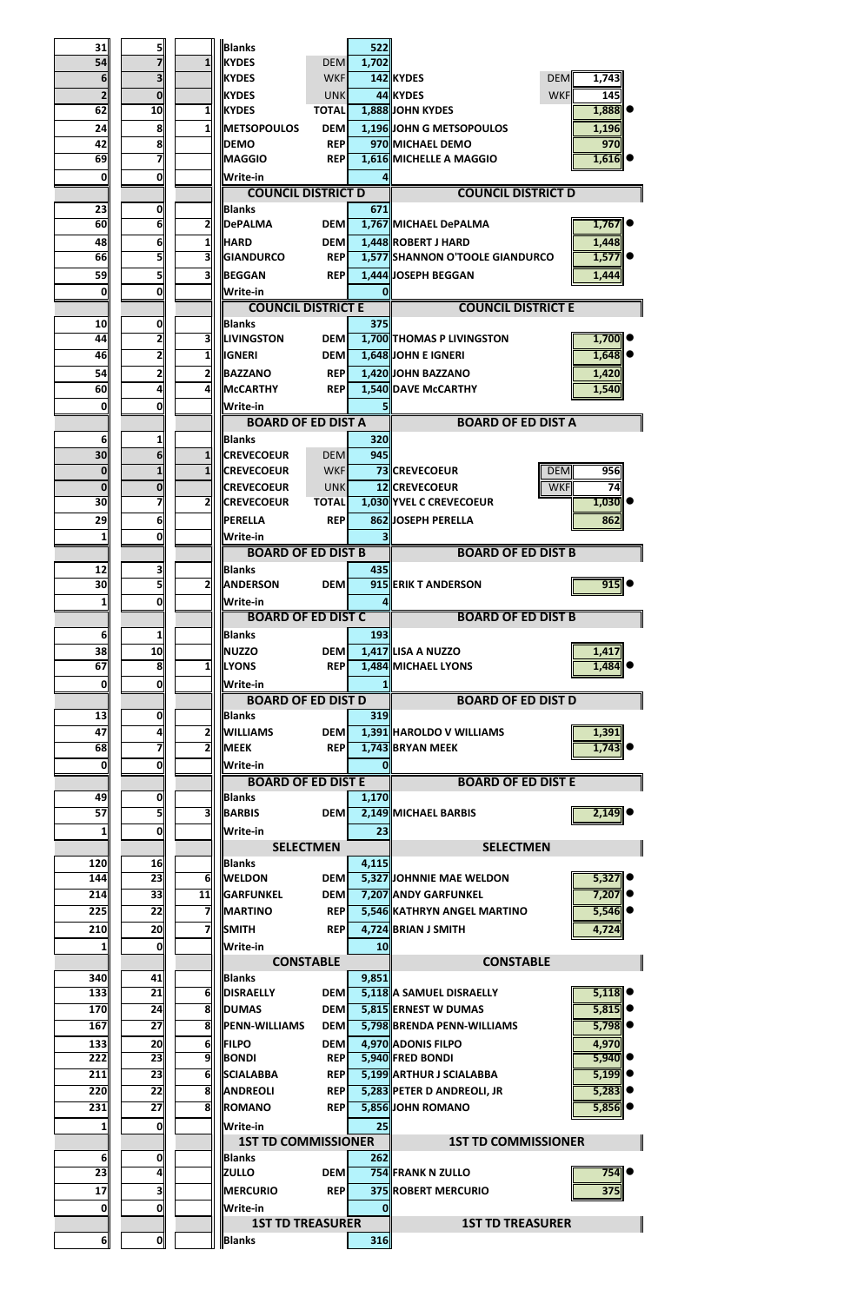| 31             | 5                       |                | <b>Blanks</b>             |                  | 522   |                                 |                     |
|----------------|-------------------------|----------------|---------------------------|------------------|-------|---------------------------------|---------------------|
| 54             | $\overline{\mathbf{z}}$ | 1              | <b>IKYDES</b>             | <b>DEM</b>       | 1,702 |                                 |                     |
| 6              | $\overline{\mathbf{3}}$ |                | <b>KYDES</b>              | <b>WKF</b>       |       | 142 KYDES                       | <b>DEM</b><br>1,743 |
| $\mathbf{z}$   | $\bf{0}$                |                | <b>KYDES</b>              | <b>UNK</b>       |       | 44 KYDES                        | <b>WKF</b><br>145   |
| 62             | 10                      | 11             | <b>KYDES</b>              | <b>TOTAL</b>     |       | 1,888 JOHN KYDES                | 1,888               |
| 24             | $\boldsymbol{8}$        | 11             | <b>METSOPOULOS</b>        | <b>DEM</b>       |       | 1,196 JOHN G METSOPOULOS        | 1,196               |
| 42             | $\mathbf{8}$            |                | <b>DEMO</b>               | <b>REP</b>       |       | 970 MICHAEL DEMO                | 970                 |
| 69             | 7                       |                | <b>MAGGIO</b>             | <b>REP</b>       |       | 1,616 MICHELLE A MAGGIO         | 1,616               |
| 0              | $\mathbf{0}$            |                | <b>Write-in</b>           |                  |       |                                 |                     |
|                |                         |                | <b>COUNCIL DISTRICT D</b> |                  |       | <b>COUNCIL DISTRICT D</b>       |                     |
| 23             | $\mathbf{0}$            |                | <b>Blanks</b>             |                  | 671   |                                 |                     |
| 60             | 6                       | 2              | <b>DePALMA</b>            | <b>DEM</b>       |       | 1,767 MICHAEL DePALMA           | 1,767               |
| 48             | $6 \mid$                | 11             | <b>HARD</b>               | <b>DEM</b>       |       | 1,448 ROBERT J HARD             | 1,448               |
| 66             | 51                      | 31             | GIANDURCO                 | <b>REP</b>       |       | 1,577 SHANNON O'TOOLE GIANDURCO | 1,577               |
| 59             | 5                       | 3              | BEGGAN                    | <b>REP</b>       |       | 1,444 JOSEPH BEGGAN             | 1,444               |
| 0              | $\mathbf{0}$            |                | <b>Write-in</b>           |                  | 0     |                                 |                     |
|                |                         |                | <b>COUNCIL DISTRICT E</b> |                  |       | <b>COUNCIL DISTRICT E</b>       |                     |
| 10             | 0                       |                | <b>Blanks</b>             |                  | 375   |                                 |                     |
| 44             | $\overline{2}$          | 31             | <b>ILIVINGSTON</b>        | <b>DEM</b>       |       | 1,700 THOMAS P LIVINGSTON       | 1,700               |
| 46             | 2                       | 1              | <b>IGNERI</b>             | <b>DEM</b>       |       | 1,648 JOHN E IGNERI             | 1,648               |
| 54             | $\mathbf{z}$            | 2 <sub>l</sub> | BAZZANO                   | <b>REP</b>       |       | 1,420 JOHN BAZZANO              | 1,420               |
| 60             | $\overline{\mathbf{r}}$ | 4              | <b>McCARTHY</b>           | <b>REP</b>       |       | 1,540 DAVE McCARTHY             | 1,540               |
| 0              | $\mathbf{0}$            |                | <b>Write-in</b>           |                  |       |                                 |                     |
|                |                         |                | <b>BOARD OF ED DIST A</b> |                  |       | <b>BOARD OF ED DIST A</b>       |                     |
| 6 <sup>1</sup> | 1                       |                | <b>IBlanks</b>            |                  | 320   |                                 |                     |
| 30             | $6\overline{6}$         | 1              | <b>CREVECOEUR</b>         | <b>DEM</b>       | 945   |                                 |                     |
| $\mathbf{0}$   | $\mathbf{1}$            | $\mathbf{1}$   | <b>CREVECOEUR</b>         | <b>WKF</b>       |       | 73 CREVECOEUR                   | <b>DEM</b><br>956   |
| $\mathbf{0}$   | $\mathbf 0$             |                | <b>CREVECOEUR</b>         | <b>UNK</b>       |       | 12 CREVECOEUR                   | <b>WKF</b><br>74    |
| 30             | 71                      | $\overline{2}$ | <b>CREVECOEUR</b>         | <b>TOTAL</b>     |       | 1,030 YVEL C CREVECOEUR         | $1,030$ $\bullet$   |
| 29             | $6\parallel$            |                | <b>IPERELLA</b>           | <b>REP</b>       |       | 862 JOSEPH PERELLA              | 862                 |
| 1              | $\mathbf{0}$            |                | <b>Write-in</b>           |                  |       |                                 |                     |
|                |                         |                | <b>BOARD OF ED DIST B</b> |                  |       | <b>BOARD OF ED DIST B</b>       |                     |
| 12             | 3                       |                | <b>Blanks</b>             |                  | 435   |                                 |                     |
| 30             | 회                       | $\overline{2}$ | <b>ANDERSON</b>           | <b>DEM</b>       |       | 915 ERIK T ANDERSON             | 915                 |
| 1              | $\mathbf{0}$            |                | <b>Write-in</b>           |                  |       |                                 |                     |
|                |                         |                | <b>BOARD OF ED DIST C</b> |                  |       | <b>BOARD OF ED DIST B</b>       |                     |
| 6              | $\mathbf{1}$            |                | <b>Blanks</b>             |                  | 193   |                                 |                     |
| 38             | 10                      |                | <b>NUZZO</b>              | <b>DEM</b>       |       | 1,417 LISA A NUZZO              | 1,417               |
| 67             | $\overline{\mathbf{8}}$ | $\mathbf{1}$   | <b>LYONS</b>              | <b>REP</b>       |       | 1,484 MICHAEL LYONS             | 1,484               |
| 0              | $\mathbf{0}$            |                | Write-in                  |                  |       |                                 |                     |
|                |                         |                | <b>BOARD OF ED DIST D</b> |                  |       | <b>BOARD OF ED DIST D</b>       |                     |
| 13             | $\mathbf{0}$            |                | <b>IBlanks</b>            |                  | 319   |                                 |                     |
| 47             | $\frac{1}{2}$           | 2              | <b>WILLIAMS</b>           | <b>DEM</b>       |       | 1,391 HAROLDO V WILLIAMS        | 1,391               |
| 68             | 7                       | 21             | <b>MEEK</b>               | <b>REPI</b>      |       | 1,743 BRYAN MEEK                | 1,743               |
| 0l             | <sub>0</sub>            |                | <b>Write-in</b>           |                  |       |                                 |                     |
|                |                         |                | <b>BOARD OF ED DIST E</b> |                  |       | <b>BOARD OF ED DIST E</b>       |                     |
| 49             | $\mathbf{0}$            |                | <b>Blanks</b>             |                  | 1,170 |                                 |                     |
| 57             | 51                      | 31             | <b>BARBIS</b>             | <b>DEM</b>       |       | 2,149 MICHAEL BARBIS            | 2,149               |
| $1\vert$       | $\mathbf{0}$            |                | <b>Write-in</b>           |                  | 23    |                                 |                     |
|                |                         |                |                           | <b>SELECTMEN</b> |       | <b>SELECTMEN</b>                |                     |
| 120            | 16                      |                | <b>Blanks</b>             |                  | 4,115 |                                 |                     |
| 144            | 23                      | $6 \mid$       | <b>WELDON</b>             | <b>DEM</b>       |       | 5,327 JOHNNIE MAE WELDON        | 5,327               |
| 214            | 33                      | 11             | <b>GARFUNKEL</b>          | <b>DEM</b>       |       | 7,207 ANDY GARFUNKEL            | 7,207               |
| 225            | 22                      | 7              | <b>MARTINO</b>            | <b>REP</b>       |       | 5,546 KATHRYN ANGEL MARTINO     | 5,546               |
| 210            | 20 <sub>l</sub>         | 7              | <b>SMITH</b>              | <b>REP</b>       |       | 4,724 BRIAN J SMITH             | 4,724               |
| 1 <sup>1</sup> | 0                       |                | Write-in                  |                  | 10    |                                 |                     |